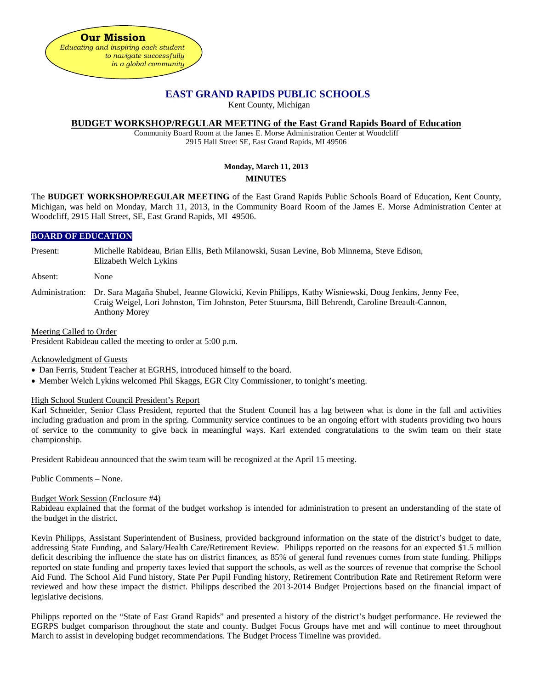

# **EAST GRAND RAPIDS PUBLIC SCHOOLS**

Kent County, Michigan

### **BUDGET WORKSHOP/REGULAR MEETING of the East Grand Rapids Board of Education**

Community Board Room at the James E. Morse Administration Center at Woodcliff 2915 Hall Street SE, East Grand Rapids, MI 49506

# **Monday, March 11, 2013 MINUTES**

The **BUDGET WORKSHOP/REGULAR MEETING** of the East Grand Rapids Public Schools Board of Education, Kent County, Michigan, was held on Monday, March 11, 2013, in the Community Board Room of the James E. Morse Administration Center at Woodcliff, 2915 Hall Street, SE, East Grand Rapids, MI 49506.

### **BOARD OF EDUCATION**

Present: Michelle Rabideau, Brian Ellis, Beth Milanowski, Susan Levine, Bob Minnema, Steve Edison, Elizabeth Welch Lykins

Absent: None

Administration: Dr. Sara Magaña Shubel, Jeanne Glowicki, Kevin Philipps, Kathy Wisniewski, Doug Jenkins, Jenny Fee, Craig Weigel, Lori Johnston, Tim Johnston, Peter Stuursma, Bill Behrendt, Caroline Breault-Cannon, Anthony Morey

Meeting Called to Order

President Rabideau called the meeting to order at 5:00 p.m.

Acknowledgment of Guests

- Dan Ferris, Student Teacher at EGRHS, introduced himself to the board.
- Member Welch Lykins welcomed Phil Skaggs, EGR City Commissioner, to tonight's meeting.

High School Student Council President's Report

Karl Schneider, Senior Class President, reported that the Student Council has a lag between what is done in the fall and activities including graduation and prom in the spring. Community service continues to be an ongoing effort with students providing two hours of service to the community to give back in meaningful ways. Karl extended congratulations to the swim team on their state championship.

President Rabideau announced that the swim team will be recognized at the April 15 meeting.

Public Comments – None.

#### Budget Work Session (Enclosure #4)

Rabideau explained that the format of the budget workshop is intended for administration to present an understanding of the state of the budget in the district.

Kevin Philipps, Assistant Superintendent of Business, provided background information on the state of the district's budget to date, addressing State Funding, and Salary/Health Care/Retirement Review. Philipps reported on the reasons for an expected \$1.5 million deficit describing the influence the state has on district finances, as 85% of general fund revenues comes from state funding. Philipps reported on state funding and property taxes levied that support the schools, as well as the sources of revenue that comprise the School Aid Fund. The School Aid Fund history, State Per Pupil Funding history, Retirement Contribution Rate and Retirement Reform were reviewed and how these impact the district. Philipps described the 2013-2014 Budget Projections based on the financial impact of legislative decisions.

Philipps reported on the "State of East Grand Rapids" and presented a history of the district's budget performance. He reviewed the EGRPS budget comparison throughout the state and county. Budget Focus Groups have met and will continue to meet throughout March to assist in developing budget recommendations. The Budget Process Timeline was provided.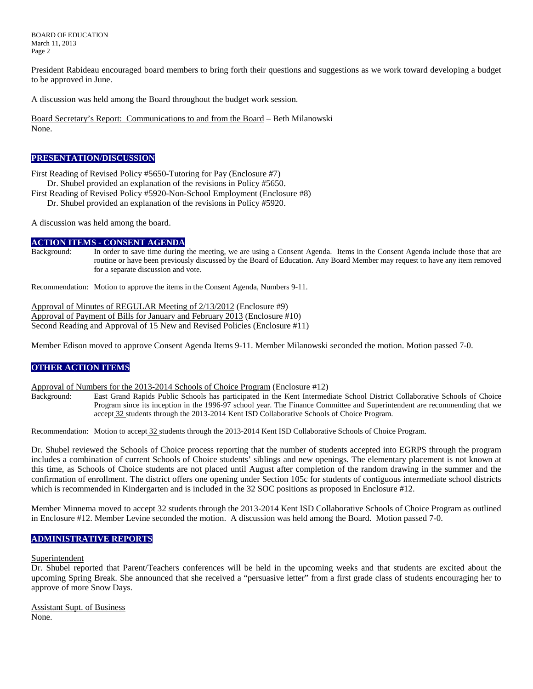BOARD OF EDUCATION March 11, 2013 Page 2

President Rabideau encouraged board members to bring forth their questions and suggestions as we work toward developing a budget to be approved in June.

A discussion was held among the Board throughout the budget work session.

Board Secretary's Report: Communications to and from the Board – Beth Milanowski None.

#### **PRESENTATION/DISCUSSION**

First Reading of Revised Policy #5650-Tutoring for Pay (Enclosure #7)

Dr. Shubel provided an explanation of the revisions in Policy #5650.

- First Reading of Revised Policy #5920-Non-School Employment (Enclosure #8)
	- Dr. Shubel provided an explanation of the revisions in Policy #5920.

A discussion was held among the board.

#### **ACTION ITEMS - CONSENT AGENDA**

Background: In order to save time during the meeting, we are using a Consent Agenda. Items in the Consent Agenda include those that are routine or have been previously discussed by the Board of Education. Any Board Member may request to have any item removed for a separate discussion and vote.

Recommendation: Motion to approve the items in the Consent Agenda, Numbers 9-11.

Approval of Minutes of REGULAR Meeting of 2/13/2012 (Enclosure #9) Approval of Payment of Bills for January and February 2013 (Enclosure #10) Second Reading and Approval of 15 New and Revised Policies (Enclosure #11)

Member Edison moved to approve Consent Agenda Items 9-11. Member Milanowski seconded the motion. Motion passed 7-0.

# **OTHER ACTION ITEMS**

Approval of Numbers for the 2013-2014 Schools of Choice Program (Enclosure #12)

East Grand Rapids Public Schools has participated in the Kent Intermediate School District Collaborative Schools of Choice Program since its inception in the 1996-97 school year. The Finance Committee and Superintendent are recommending that we accept 32 students through the 2013-2014 Kent ISD Collaborative Schools of Choice Program.

Recommendation: Motion to accept 32 students through the 2013-2014 Kent ISD Collaborative Schools of Choice Program.

Dr. Shubel reviewed the Schools of Choice process reporting that the number of students accepted into EGRPS through the program includes a combination of current Schools of Choice students' siblings and new openings. The elementary placement is not known at this time, as Schools of Choice students are not placed until August after completion of the random drawing in the summer and the confirmation of enrollment. The district offers one opening under Section 105c for students of contiguous intermediate school districts which is recommended in Kindergarten and is included in the 32 SOC positions as proposed in Enclosure #12.

Member Minnema moved to accept 32 students through the 2013-2014 Kent ISD Collaborative Schools of Choice Program as outlined in Enclosure #12. Member Levine seconded the motion. A discussion was held among the Board. Motion passed 7-0.

# **ADMINISTRATIVE REPORTS**

#### Superintendent

Dr. Shubel reported that Parent/Teachers conferences will be held in the upcoming weeks and that students are excited about the upcoming Spring Break. She announced that she received a "persuasive letter" from a first grade class of students encouraging her to approve of more Snow Days.

Assistant Supt. of Business None.